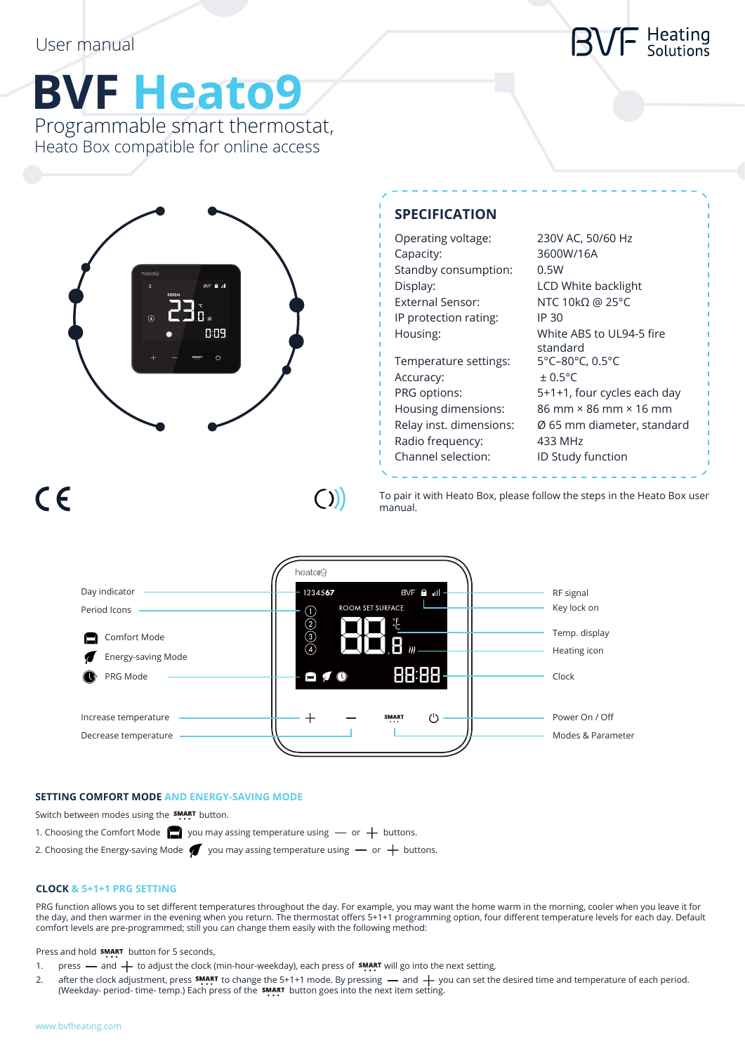## Heating<br>Solutions

# **BVF Heato9**

Programmable smart thermostat, Heato Box compatible for online access



## **SPECIFICATION**

| Operating voltage:      | 230V AC, 50        |
|-------------------------|--------------------|
|                         | 3600W/16A          |
| Capacity:               |                    |
| Standby consumption:    | 0.5W               |
| Display:                | <b>LCD White I</b> |
| <b>External Sensor:</b> | NTC 10kΩ (         |
| IP protection rating:   | IP 30              |
| Housing:                | White ABS t        |
|                         | standard           |
| Temperature settings:   | 5°C-80°C, 0        |
| Accuracy:               | $\pm$ 0.5°C        |
| PRG options:            | $5+1+1$ , four     |
| Housing dimensions:     | 86 mm × 86         |
| Relay inst. dimensions: | Ø 65 mm di         |
| Radio frequency:        | 433 MHz            |
|                         |                    |

50/60 Hz ite backlight  $\Omega$  @ 25°C BS to UL94-5 fire standard  $C, 0.5$ °C our cycles each day 86 mm × 16 mm n diameter, standard Channel selection: ID Study function

## $C \in$

 $($ 

To pair it with Heato Box, please follow the steps in the Heato Box user manual.



## **SETTING COMFORT MODE AND ENERGY-SAVING MODE**

Switch between modes using the **SMART** button.

1. Choosing the Comfort Mode  $\Box$  you may assing temperature using  $-$  or  $+$  buttons.

2. Choosing the Energy-saving Mode  $\blacklozenge$  you may assing temperature using  $-$  or  $+$  buttons.

### **CLOCK & 5+1+1 PRG SETTING**

PRG function allows you to set different temperatures throughout the day. For example, you may want the home warm in the morning, cooler when you leave it for the day, and then warmer in the evening when you return. The thermostat offers 5+1+1 programming option, four different temperature levels for each day. Default comfort levels are pre-programmed; still you can change them easily with the following method:

Press and hold **SMART** button for 5 seconds,

- 1. press and  $+$  to adjust the clock (min-hour-weekday), each press of **SMART** will go into the next setting,
- 2. after the clock adjustment, press  $\frac{\text{symer}}{\text{max}}$  to change the 5+1+1 mode. By pressing and  $+$  you can set the desired time and temperature of each period. (Weekday- period- time- temp.) Each press of the **SMART** button goes into the next item setting.